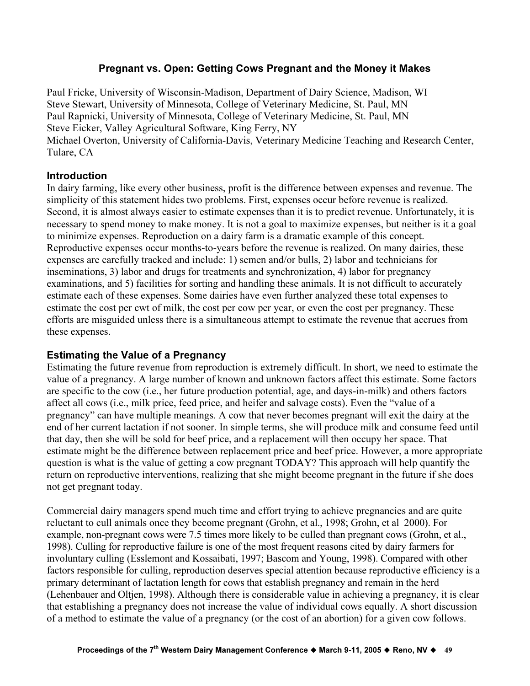# Pregnant vs. Open: Getting Cows Pregnant and the Money it Makes

Paul Fricke, University of Wisconsin-Madison, Department of Dairy Science, Madison, WI Steve Stewart, University of Minnesota, College of Veterinary Medicine, St. Paul, MN Paul Rapnicki, University of Minnesota, College of Veterinary Medicine, St. Paul, MN Steve Eicker, Valley Agricultural Software, King Ferry, NY Michael Overton, University of California-Davis, Veterinary Medicine Teaching and Research Center, Tulare, CA

### Introduction

In dairy farming, like every other business, profit is the difference between expenses and revenue. The simplicity of this statement hides two problems. First, expenses occur before revenue is realized. Second, it is almost always easier to estimate expenses than it is to predict revenue. Unfortunately, it is necessary to spend money to make money. It is not a goal to maximize expenses, but neither is it a goal to minimize expenses. Reproduction on a dairy farm is a dramatic example of this concept. Reproductive expenses occur months-to-years before the revenue is realized. On many dairies, these expenses are carefully tracked and include: 1) semen and/or bulls, 2) labor and technicians for inseminations, 3) labor and drugs for treatments and synchronization, 4) labor for pregnancy examinations, and 5) facilities for sorting and handling these animals. It is not difficult to accurately estimate each of these expenses. Some dairies have even further analyzed these total expenses to estimate the cost per cwt of milk, the cost per cow per year, or even the cost per pregnancy. These efforts are misguided unless there is a simultaneous attempt to estimate the revenue that accrues from these expenses.

# Estimating the Value of a Pregnancy

Estimating the future revenue from reproduction is extremely difficult. In short, we need to estimate the value of a pregnancy. A large number of known and unknown factors affect this estimate. Some factors are specific to the cow (i.e., her future production potential, age, and days-in-milk) and others factors affect all cows (i.e., milk price, feed price, and heifer and salvage costs). Even the "value of a pregnancy" can have multiple meanings. A cow that never becomes pregnant will exit the dairy at the end of her current lactation if not sooner. In simple terms, she will produce milk and consume feed until that day, then she will be sold for beef price, and a replacement will then occupy her space. That estimate might be the difference between replacement price and beef price. However, a more appropriate question is what is the value of getting a cow pregnant TODAY? This approach will help quantify the return on reproductive interventions, realizing that she might become pregnant in the future if she does not get pregnant today.

Commercial dairy managers spend much time and effort trying to achieve pregnancies and are quite reluctant to cull animals once they become pregnant (Grohn, et al., 1998; Grohn, et al 2000). For example, non-pregnant cows were 7.5 times more likely to be culled than pregnant cows (Grohn, et al., 1998). Culling for reproductive failure is one of the most frequent reasons cited by dairy farmers for involuntary culling (Esslemont and Kossaibati, 1997; Bascom and Young, 1998). Compared with other factors responsible for culling, reproduction deserves special attention because reproductive efficiency is a primary determinant of lactation length for cows that establish pregnancy and remain in the herd (Lehenbauer and Oltjen, 1998). Although there is considerable value in achieving a pregnancy, it is clear that establishing a pregnancy does not increase the value of individual cows equally. A short discussion of a method to estimate the value of a pregnancy (or the cost of an abortion) for a given cow follows.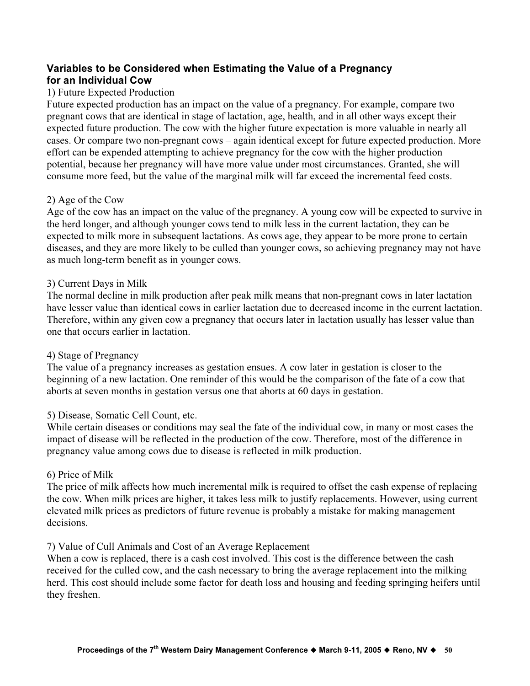# Variables to be Considered when Estimating the Value of a Pregnancy for an Individual Cow

### 1) Future Expected Production

Future expected production has an impact on the value of a pregnancy. For example, compare two pregnant cows that are identical in stage of lactation, age, health, and in all other ways except their expected future production. The cow with the higher future expectation is more valuable in nearly all cases. Or compare two non-pregnant cows – again identical except for future expected production. More effort can be expended attempting to achieve pregnancy for the cow with the higher production potential, because her pregnancy will have more value under most circumstances. Granted, she will consume more feed, but the value of the marginal milk will far exceed the incremental feed costs.

### 2) Age of the Cow

Age of the cow has an impact on the value of the pregnancy. A young cow will be expected to survive in the herd longer, and although younger cows tend to milk less in the current lactation, they can be expected to milk more in subsequent lactations. As cows age, they appear to be more prone to certain diseases, and they are more likely to be culled than younger cows, so achieving pregnancy may not have as much long-term benefit as in younger cows.

### 3) Current Days in Milk

The normal decline in milk production after peak milk means that non-pregnant cows in later lactation have lesser value than identical cows in earlier lactation due to decreased income in the current lactation. Therefore, within any given cow a pregnancy that occurs later in lactation usually has lesser value than one that occurs earlier in lactation.

### 4) Stage of Pregnancy

The value of a pregnancy increases as gestation ensues. A cow later in gestation is closer to the beginning of a new lactation. One reminder of this would be the comparison of the fate of a cow that aborts at seven months in gestation versus one that aborts at 60 days in gestation.

### 5) Disease, Somatic Cell Count, etc.

While certain diseases or conditions may seal the fate of the individual cow, in many or most cases the impact of disease will be reflected in the production of the cow. Therefore, most of the difference in pregnancy value among cows due to disease is reflected in milk production.

### 6) Price of Milk

The price of milk affects how much incremental milk is required to offset the cash expense of replacing the cow. When milk prices are higher, it takes less milk to justify replacements. However, using current elevated milk prices as predictors of future revenue is probably a mistake for making management decisions.

#### 7) Value of Cull Animals and Cost of an Average Replacement

When a cow is replaced, there is a cash cost involved. This cost is the difference between the cash received for the culled cow, and the cash necessary to bring the average replacement into the milking herd. This cost should include some factor for death loss and housing and feeding springing heifers until they freshen.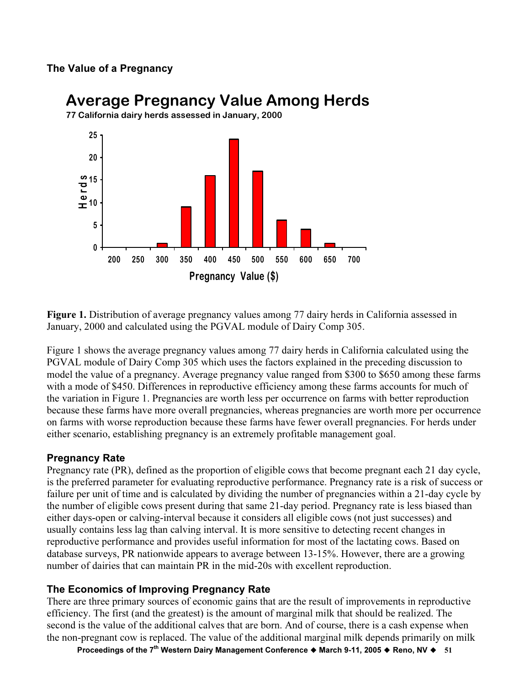# The Value of a Pregnancy



# Average Pregnancy Value Among Herds

Figure 1. Distribution of average pregnancy values among 77 dairy herds in California assessed in January, 2000 and calculated using the PGVAL module of Dairy Comp 305.

Figure 1 shows the average pregnancy values among 77 dairy herds in California calculated using the PGVAL module of Dairy Comp 305 which uses the factors explained in the preceding discussion to model the value of a pregnancy. Average pregnancy value ranged from \$300 to \$650 among these farms with a mode of \$450. Differences in reproductive efficiency among these farms accounts for much of the variation in Figure 1. Pregnancies are worth less per occurrence on farms with better reproduction because these farms have more overall pregnancies, whereas pregnancies are worth more per occurrence on farms with worse reproduction because these farms have fewer overall pregnancies. For herds under either scenario, establishing pregnancy is an extremely profitable management goal.

# Pregnancy Rate

Pregnancy rate (PR), defined as the proportion of eligible cows that become pregnant each 21 day cycle, is the preferred parameter for evaluating reproductive performance. Pregnancy rate is a risk of success or failure per unit of time and is calculated by dividing the number of pregnancies within a 21-day cycle by the number of eligible cows present during that same 21-day period. Pregnancy rate is less biased than either days-open or calving-interval because it considers all eligible cows (not just successes) and usually contains less lag than calving interval. It is more sensitive to detecting recent changes in reproductive performance and provides useful information for most of the lactating cows. Based on database surveys, PR nationwide appears to average between 13-15%. However, there are a growing number of dairies that can maintain PR in the mid-20s with excellent reproduction.

# The Economics of Improving Pregnancy Rate

There are three primary sources of economic gains that are the result of improvements in reproductive efficiency. The first (and the greatest) is the amount of marginal milk that should be realized. The second is the value of the additional calves that are born. And of course, there is a cash expense when the non-pregnant cow is replaced. The value of the additional marginal milk depends primarily on milk

Proceedings of the 7<sup>th</sup> Western Dairy Management Conference  $\triangle$  March 9-11, 2005  $\triangle$  Reno, NV  $\triangle$  51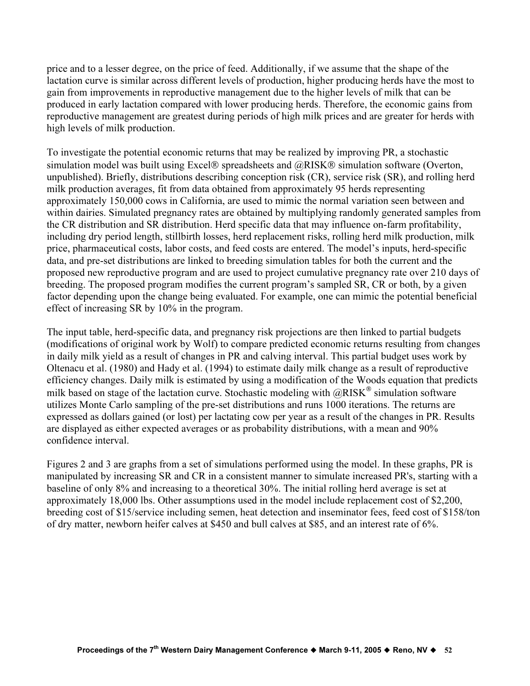price and to a lesser degree, on the price of feed. Additionally, if we assume that the shape of the lactation curve is similar across different levels of production, higher producing herds have the most to gain from improvements in reproductive management due to the higher levels of milk that can be produced in early lactation compared with lower producing herds. Therefore, the economic gains from reproductive management are greatest during periods of high milk prices and are greater for herds with high levels of milk production.

To investigate the potential economic returns that may be realized by improving PR, a stochastic simulation model was built using Excel® spreadsheets and @RISK® simulation software (Overton, unpublished). Briefly, distributions describing conception risk (CR), service risk (SR), and rolling herd milk production averages, fit from data obtained from approximately 95 herds representing approximately 150,000 cows in California, are used to mimic the normal variation seen between and within dairies. Simulated pregnancy rates are obtained by multiplying randomly generated samples from the CR distribution and SR distribution. Herd specific data that may influence on-farm profitability, including dry period length, stillbirth losses, herd replacement risks, rolling herd milk production, milk price, pharmaceutical costs, labor costs, and feed costs are entered. The model's inputs, herd-specific data, and pre-set distributions are linked to breeding simulation tables for both the current and the proposed new reproductive program and are used to project cumulative pregnancy rate over 210 days of breeding. The proposed program modifies the current program's sampled SR, CR or both, by a given factor depending upon the change being evaluated. For example, one can mimic the potential beneficial effect of increasing SR by 10% in the program.

The input table, herd-specific data, and pregnancy risk projections are then linked to partial budgets (modifications of original work by Wolf) to compare predicted economic returns resulting from changes in daily milk yield as a result of changes in PR and calving interval. This partial budget uses work by Oltenacu et al. (1980) and Hady et al. (1994) to estimate daily milk change as a result of reproductive efficiency changes. Daily milk is estimated by using a modification of the Woods equation that predicts milk based on stage of the lactation curve. Stochastic modeling with  $@RISK^@$  simulation software utilizes Monte Carlo sampling of the pre-set distributions and runs 1000 iterations. The returns are expressed as dollars gained (or lost) per lactating cow per year as a result of the changes in PR. Results are displayed as either expected averages or as probability distributions, with a mean and 90% confidence interval.

Figures 2 and 3 are graphs from a set of simulations performed using the model. In these graphs, PR is manipulated by increasing SR and CR in a consistent manner to simulate increased PR's, starting with a baseline of only 8% and increasing to a theoretical 30%. The initial rolling herd average is set at approximately 18,000 lbs. Other assumptions used in the model include replacement cost of \$2,200, breeding cost of \$15/service including semen, heat detection and inseminator fees, feed cost of \$158/ton of dry matter, newborn heifer calves at \$450 and bull calves at \$85, and an interest rate of 6%.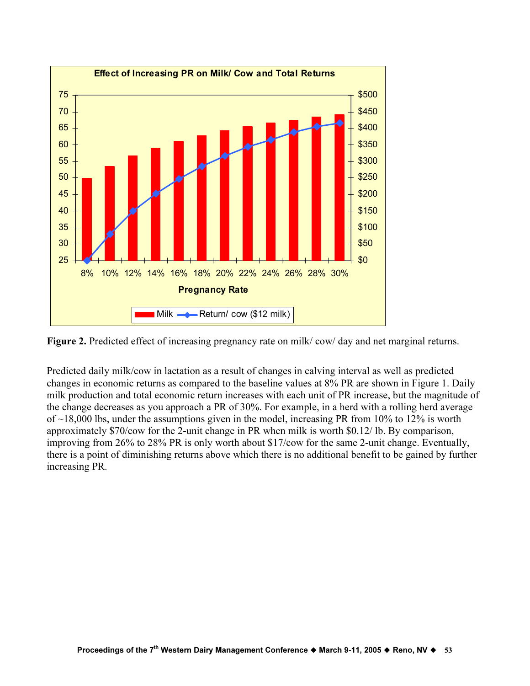

Figure 2. Predicted effect of increasing pregnancy rate on milk/cow/day and net marginal returns.

Predicted daily milk/cow in lactation as a result of changes in calving interval as well as predicted changes in economic returns as compared to the baseline values at 8% PR are shown in Figure 1. Daily milk production and total economic return increases with each unit of PR increase, but the magnitude of the change decreases as you approach a PR of 30%. For example, in a herd with a rolling herd average of  $\sim$ 18,000 lbs, under the assumptions given in the model, increasing PR from 10% to 12% is worth approximately \$70/cow for the 2-unit change in PR when milk is worth \$0.12/ lb. By comparison, improving from 26% to 28% PR is only worth about \$17/cow for the same 2-unit change. Eventually, there is a point of diminishing returns above which there is no additional benefit to be gained by further increasing PR.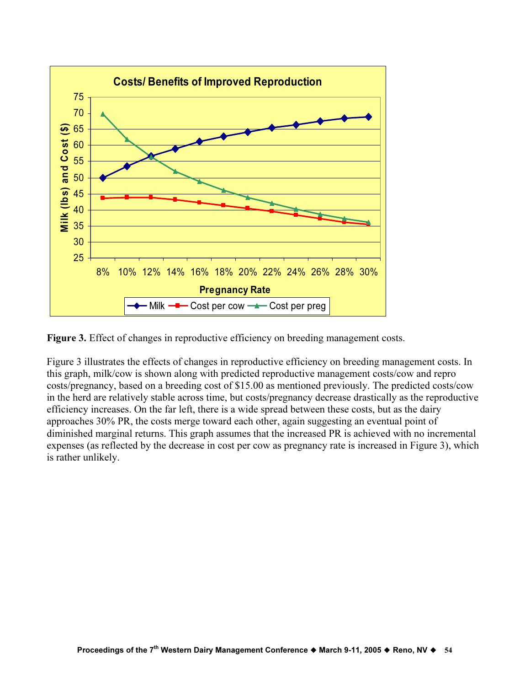

Figure 3. Effect of changes in reproductive efficiency on breeding management costs.

Figure 3 illustrates the effects of changes in reproductive efficiency on breeding management costs. In this graph, milk/cow is shown along with predicted reproductive management costs/cow and repro costs/pregnancy, based on a breeding cost of \$15.00 as mentioned previously. The predicted costs/cow in the herd are relatively stable across time, but costs/pregnancy decrease drastically as the reproductive efficiency increases. On the far left, there is a wide spread between these costs, but as the dairy approaches 30% PR, the costs merge toward each other, again suggesting an eventual point of diminished marginal returns. This graph assumes that the increased PR is achieved with no incremental expenses (as reflected by the decrease in cost per cow as pregnancy rate is increased in Figure 3), which is rather unlikely.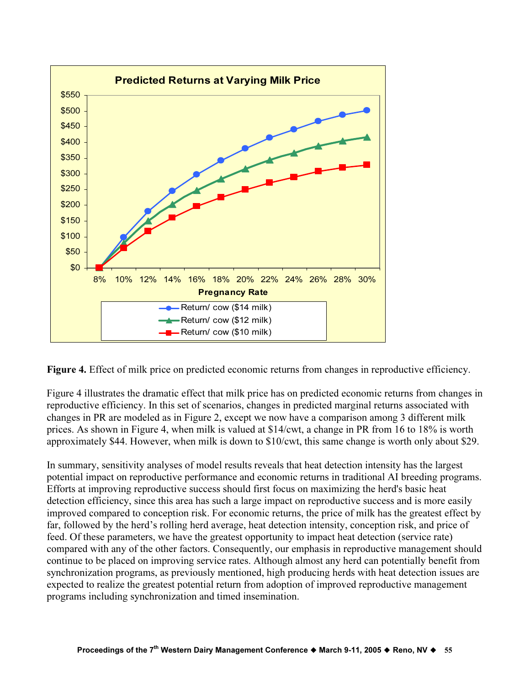

Figure 4. Effect of milk price on predicted economic returns from changes in reproductive efficiency.

Figure 4 illustrates the dramatic effect that milk price has on predicted economic returns from changes in reproductive efficiency. In this set of scenarios, changes in predicted marginal returns associated with changes in PR are modeled as in Figure 2, except we now have a comparison among 3 different milk prices. As shown in Figure 4, when milk is valued at \$14/cwt, a change in PR from 16 to 18% is worth approximately \$44. However, when milk is down to \$10/cwt, this same change is worth only about \$29.

In summary, sensitivity analyses of model results reveals that heat detection intensity has the largest potential impact on reproductive performance and economic returns in traditional AI breeding programs. Efforts at improving reproductive success should first focus on maximizing the herd's basic heat detection efficiency, since this area has such a large impact on reproductive success and is more easily improved compared to conception risk. For economic returns, the price of milk has the greatest effect by far, followed by the herd's rolling herd average, heat detection intensity, conception risk, and price of feed. Of these parameters, we have the greatest opportunity to impact heat detection (service rate) compared with any of the other factors. Consequently, our emphasis in reproductive management should continue to be placed on improving service rates. Although almost any herd can potentially benefit from synchronization programs, as previously mentioned, high producing herds with heat detection issues are expected to realize the greatest potential return from adoption of improved reproductive management programs including synchronization and timed insemination.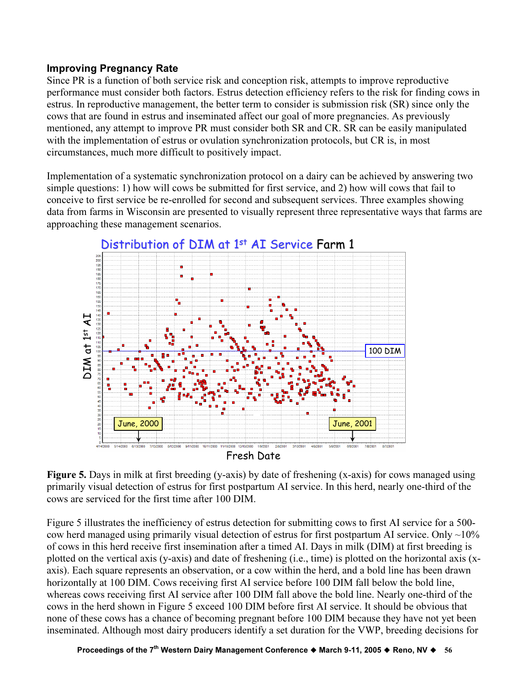### Improving Pregnancy Rate

Since PR is a function of both service risk and conception risk, attempts to improve reproductive performance must consider both factors. Estrus detection efficiency refers to the risk for finding cows in estrus. In reproductive management, the better term to consider is submission risk (SR) since only the cows that are found in estrus and inseminated affect our goal of more pregnancies. As previously mentioned, any attempt to improve PR must consider both SR and CR. SR can be easily manipulated with the implementation of estrus or ovulation synchronization protocols, but CR is, in most circumstances, much more difficult to positively impact.

Implementation of a systematic synchronization protocol on a dairy can be achieved by answering two simple questions: 1) how will cows be submitted for first service, and 2) how will cows that fail to conceive to first service be re-enrolled for second and subsequent services. Three examples showing data from farms in Wisconsin are presented to visually represent three representative ways that farms are approaching these management scenarios.



Figure 5. Days in milk at first breeding (y-axis) by date of freshening (x-axis) for cows managed using primarily visual detection of estrus for first postpartum AI service. In this herd, nearly one-third of the cows are serviced for the first time after 100 DIM.

Figure 5 illustrates the inefficiency of estrus detection for submitting cows to first AI service for a 500 cow herd managed using primarily visual detection of estrus for first postpartum AI service. Only  $\sim$ 10% of cows in this herd receive first insemination after a timed AI. Days in milk (DIM) at first breeding is plotted on the vertical axis (y-axis) and date of freshening (i.e., time) is plotted on the horizontal axis (xaxis). Each square represents an observation, or a cow within the herd, and a bold line has been drawn horizontally at 100 DIM. Cows receiving first AI service before 100 DIM fall below the bold line, whereas cows receiving first AI service after 100 DIM fall above the bold line. Nearly one-third of the cows in the herd shown in Figure 5 exceed 100 DIM before first AI service. It should be obvious that none of these cows has a chance of becoming pregnant before 100 DIM because they have not yet been inseminated. Although most dairy producers identify a set duration for the VWP, breeding decisions for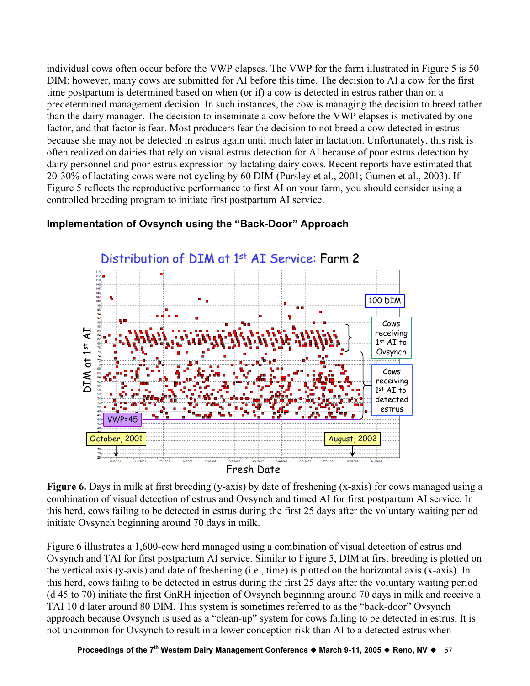individual cows often occur before the VWP elapses. The VWP for the farm illustrated in Figure 5 is 50 DIM; however, many cows are submitted for AI before this time. The decision to AI a cow for the first time postpartum is determined based on when (or if) a cow is detected in estrus rather than on a predetermined management decision. In such instances, the cow is managing the decision to breed rather than the dairy manager. The decision to inseminate a cow before the VWP elapses is motivated by one factor, and that factor is fear. Most producers fear the decision to not breed a cow detected in estrus because she may not be detected in estrus again until much later in lactation. Unfortunately, this risk is often realized on dairies that rely on visual estrus detection for AI because of poor estrus detection by dairy personnel and poor estrus expression by lactating dairy cows. Recent reports have estimated that 20-30% of lactating cows were not cycling by 60 DIM (Pursley et al., 2001; Gumen et al., 2003). If Figure 5 reflects the reproductive performance to first AI on your farm, you should consider using a controlled breeding program to initiate first postpartum AI service.

# Implementation of Ovsynch using the "Back-Door" Approach



Figure 6. Days in milk at first breeding (y-axis) by date of freshening (x-axis) for cows managed using a combination of visual detection of estrus and Ovsynch and timed AI for first postpartum AI service. In this herd, cows failing to be detected in estrus during the first 25 days after the voluntary waiting period initiate Ovsynch beginning around 70 days in milk.

Figure 6 illustrates a 1,600-cow herd managed using a combination of visual detection of estrus and Ovsynch and TAI for first postpartum AI service. Similar to Figure 5, DIM at first breeding is plotted on the vertical axis (y-axis) and date of freshening (i.e., time) is plotted on the horizontal axis (x-axis). In this herd, cows failing to be detected in estrus during the first 25 days after the voluntary waiting period (d 45 to 70) initiate the first GnRH injection of Ovsynch beginning around 70 days in milk and receive a TAI 10 d later around 80 DIM. This system is sometimes referred to as the "back-door" Ovsynch approach because Ovsynch is used as a "clean-up" system for cows failing to be detected in estrus. It is not uncommon for Ovsynch to result in a lower conception risk than AI to a detected estrus when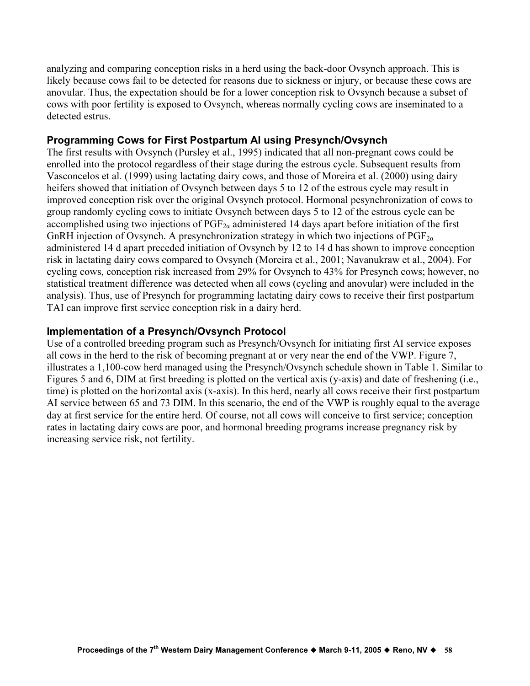analyzing and comparing conception risks in a herd using the back-door Ovsynch approach. This is likely because cows fail to be detected for reasons due to sickness or injury, or because these cows are anovular. Thus, the expectation should be for a lower conception risk to Ovsynch because a subset of cows with poor fertility is exposed to Ovsynch, whereas normally cycling cows are inseminated to a detected estrus.

### Programming Cows for First Postpartum AI using Presynch/Ovsynch

The first results with Ovsynch (Pursley et al., 1995) indicated that all non-pregnant cows could be enrolled into the protocol regardless of their stage during the estrous cycle. Subsequent results from Vasconcelos et al. (1999) using lactating dairy cows, and those of Moreira et al. (2000) using dairy heifers showed that initiation of Ovsynch between days 5 to 12 of the estrous cycle may result in improved conception risk over the original Ovsynch protocol. Hormonal pesynchronization of cows to group randomly cycling cows to initiate Ovsynch between days 5 to 12 of the estrous cycle can be accomplished using two injections of  $PGF_{2\alpha}$  administered 14 days apart before initiation of the first GnRH injection of Ovsynch. A presynchronization strategy in which two injections of  $PGF_{2\alpha}$ administered 14 d apart preceded initiation of Ovsynch by 12 to 14 d has shown to improve conception risk in lactating dairy cows compared to Ovsynch (Moreira et al., 2001; Navanukraw et al., 2004). For cycling cows, conception risk increased from 29% for Ovsynch to 43% for Presynch cows; however, no statistical treatment difference was detected when all cows (cycling and anovular) were included in the analysis). Thus, use of Presynch for programming lactating dairy cows to receive their first postpartum TAI can improve first service conception risk in a dairy herd.

### Implementation of a Presynch/Ovsynch Protocol

Use of a controlled breeding program such as Presynch/Ovsynch for initiating first AI service exposes all cows in the herd to the risk of becoming pregnant at or very near the end of the VWP. Figure 7, illustrates a 1,100-cow herd managed using the Presynch/Ovsynch schedule shown in Table 1. Similar to Figures 5 and 6, DIM at first breeding is plotted on the vertical axis (y-axis) and date of freshening (i.e., time) is plotted on the horizontal axis (x-axis). In this herd, nearly all cows receive their first postpartum AI service between 65 and 73 DIM. In this scenario, the end of the VWP is roughly equal to the average day at first service for the entire herd. Of course, not all cows will conceive to first service; conception rates in lactating dairy cows are poor, and hormonal breeding programs increase pregnancy risk by increasing service risk, not fertility.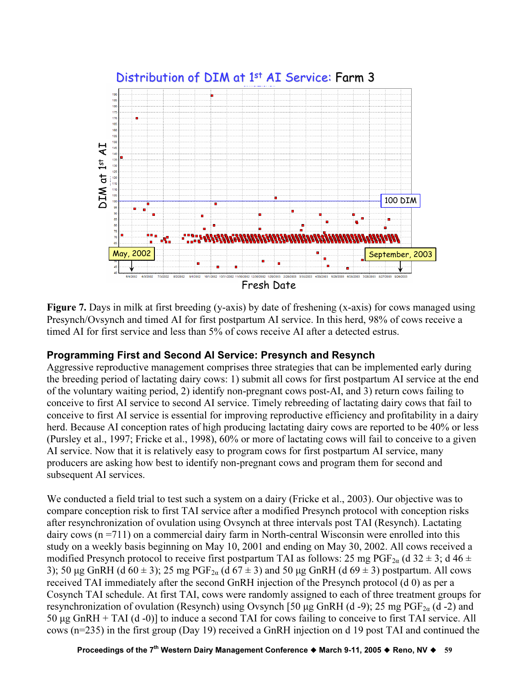

Figure 7. Days in milk at first breeding (y-axis) by date of freshening (x-axis) for cows managed using Presynch/Ovsynch and timed AI for first postpartum AI service. In this herd, 98% of cows receive a timed AI for first service and less than 5% of cows receive AI after a detected estrus.

# Programming First and Second AI Service: Presynch and Resynch

Aggressive reproductive management comprises three strategies that can be implemented early during the breeding period of lactating dairy cows: 1) submit all cows for first postpartum AI service at the end of the voluntary waiting period, 2) identify non-pregnant cows post-AI, and 3) return cows failing to conceive to first AI service to second AI service. Timely rebreeding of lactating dairy cows that fail to conceive to first AI service is essential for improving reproductive efficiency and profitability in a dairy herd. Because AI conception rates of high producing lactating dairy cows are reported to be 40% or less (Pursley et al., 1997; Fricke et al., 1998), 60% or more of lactating cows will fail to conceive to a given AI service. Now that it is relatively easy to program cows for first postpartum AI service, many producers are asking how best to identify non-pregnant cows and program them for second and subsequent AI services.

We conducted a field trial to test such a system on a dairy (Fricke et al., 2003). Our objective was to compare conception risk to first TAI service after a modified Presynch protocol with conception risks after resynchronization of ovulation using Ovsynch at three intervals post TAI (Resynch). Lactating dairy cows (n =711) on a commercial dairy farm in North-central Wisconsin were enrolled into this study on a weekly basis beginning on May 10, 2001 and ending on May 30, 2002. All cows received a modified Presynch protocol to receive first postpartum TAI as follows: 25 mg PGF<sub>2a</sub> (d 32  $\pm$  3; d 46  $\pm$ 3); 50 µg GnRH (d  $60 \pm 3$ ); 25 mg PGF<sub>2a</sub> (d  $67 \pm 3$ ) and 50 µg GnRH (d  $69 \pm 3$ ) postpartum. All cows received TAI immediately after the second GnRH injection of the Presynch protocol (d 0) as per a Cosynch TAI schedule. At first TAI, cows were randomly assigned to each of three treatment groups for resynchronization of ovulation (Resynch) using Ovsynch [50 µg GnRH (d -9); 25 mg PGF<sub>2a</sub> (d -2) and 50 µg GnRH + TAI (d -0)] to induce a second TAI for cows failing to conceive to first TAI service. All cows (n=235) in the first group (Day 19) received a GnRH injection on d 19 post TAI and continued the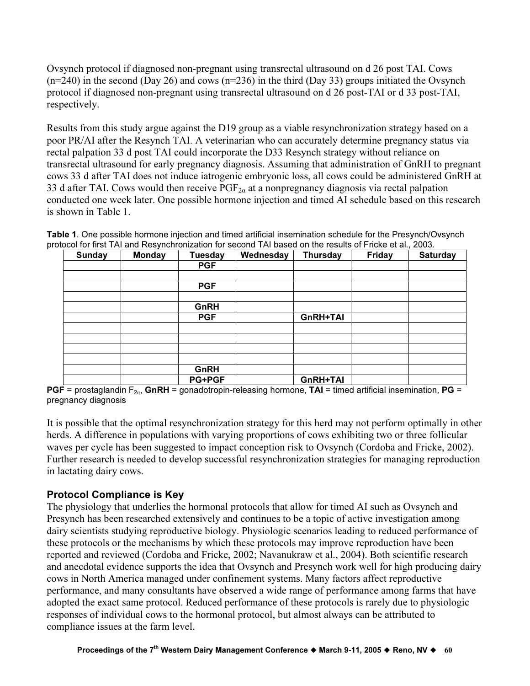Ovsynch protocol if diagnosed non-pregnant using transrectal ultrasound on d 26 post TAI. Cows  $(n=240)$  in the second (Day 26) and cows  $(n=236)$  in the third (Day 33) groups initiated the Ovsynch protocol if diagnosed non-pregnant using transrectal ultrasound on d 26 post-TAI or d 33 post-TAI, respectively.

Results from this study argue against the D19 group as a viable resynchronization strategy based on a poor PR/AI after the Resynch TAI. A veterinarian who can accurately determine pregnancy status via rectal palpation 33 d post TAI could incorporate the D33 Resynch strategy without reliance on transrectal ultrasound for early pregnancy diagnosis. Assuming that administration of GnRH to pregnant cows 33 d after TAI does not induce iatrogenic embryonic loss, all cows could be administered GnRH at 33 d after TAI. Cows would then receive  $PGF_{2\alpha}$  at a nonpregnancy diagnosis via rectal palpation conducted one week later. One possible hormone injection and timed AI schedule based on this research is shown in Table 1.

Table 1. One possible hormone injection and timed artificial insemination schedule for the Presynch/Ovsynch protocol for first TAI and Resynchronization for second TAI based on the results of Fricke et al., 2003.

| Sunday | <b>Monday</b> | <b>Tuesday</b> | Wednesday | <b>Thursday</b> | Friday | <b>Saturday</b> |
|--------|---------------|----------------|-----------|-----------------|--------|-----------------|
|        |               | <b>PGF</b>     |           |                 |        |                 |
|        |               |                |           |                 |        |                 |
|        |               | <b>PGF</b>     |           |                 |        |                 |
|        |               |                |           |                 |        |                 |
|        |               | GnRH           |           |                 |        |                 |
|        |               | <b>PGF</b>     |           | GnRH+TAI        |        |                 |
|        |               |                |           |                 |        |                 |
|        |               |                |           |                 |        |                 |
|        |               |                |           |                 |        |                 |
|        |               |                |           |                 |        |                 |
|        |               | GnRH           |           |                 |        |                 |
|        |               | <b>PG+PGF</b>  |           | GnRH+TAI        |        |                 |

PGF = prostaglandin F<sub>2α</sub>, GnRH = gonadotropin-releasing hormone, TAI = timed artificial insemination, PG = pregnancy diagnosis

It is possible that the optimal resynchronization strategy for this herd may not perform optimally in other herds. A difference in populations with varying proportions of cows exhibiting two or three follicular waves per cycle has been suggested to impact conception risk to Ovsynch (Cordoba and Fricke, 2002). Further research is needed to develop successful resynchronization strategies for managing reproduction in lactating dairy cows.

# Protocol Compliance is Key

The physiology that underlies the hormonal protocols that allow for timed AI such as Ovsynch and Presynch has been researched extensively and continues to be a topic of active investigation among dairy scientists studying reproductive biology. Physiologic scenarios leading to reduced performance of these protocols or the mechanisms by which these protocols may improve reproduction have been reported and reviewed (Cordoba and Fricke, 2002; Navanukraw et al., 2004). Both scientific research and anecdotal evidence supports the idea that Ovsynch and Presynch work well for high producing dairy cows in North America managed under confinement systems. Many factors affect reproductive performance, and many consultants have observed a wide range of performance among farms that have adopted the exact same protocol. Reduced performance of these protocols is rarely due to physiologic responses of individual cows to the hormonal protocol, but almost always can be attributed to compliance issues at the farm level.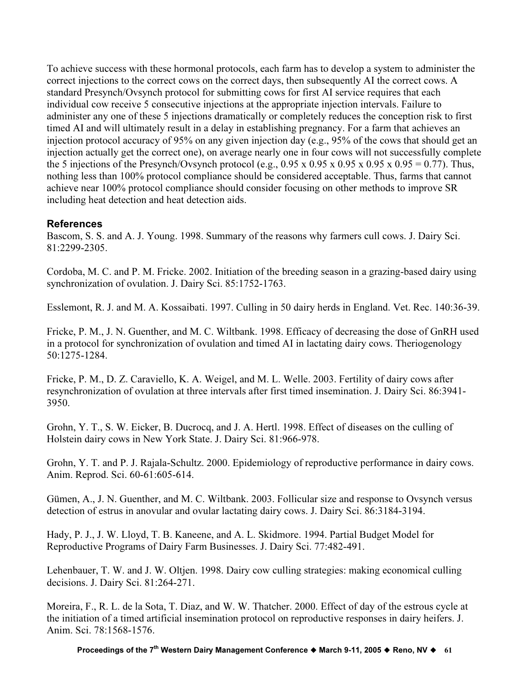To achieve success with these hormonal protocols, each farm has to develop a system to administer the correct injections to the correct cows on the correct days, then subsequently AI the correct cows. A standard Presynch/Ovsynch protocol for submitting cows for first AI service requires that each individual cow receive 5 consecutive injections at the appropriate injection intervals. Failure to administer any one of these 5 injections dramatically or completely reduces the conception risk to first timed AI and will ultimately result in a delay in establishing pregnancy. For a farm that achieves an injection protocol accuracy of 95% on any given injection day (e.g., 95% of the cows that should get an injection actually get the correct one), on average nearly one in four cows will not successfully complete the 5 injections of the Presynch/Ovsynch protocol (e.g., 0.95 x 0.95 x 0.95 x 0.95 x 0.95 = 0.77). Thus, nothing less than 100% protocol compliance should be considered acceptable. Thus, farms that cannot achieve near 100% protocol compliance should consider focusing on other methods to improve SR including heat detection and heat detection aids.

# References

Bascom, S. S. and A. J. Young. 1998. Summary of the reasons why farmers cull cows. J. Dairy Sci. 81:2299-2305.

Cordoba, M. C. and P. M. Fricke. 2002. Initiation of the breeding season in a grazing-based dairy using synchronization of ovulation. J. Dairy Sci. 85:1752-1763.

Esslemont, R. J. and M. A. Kossaibati. 1997. Culling in 50 dairy herds in England. Vet. Rec. 140:36-39.

Fricke, P. M., J. N. Guenther, and M. C. Wiltbank. 1998. Efficacy of decreasing the dose of GnRH used in a protocol for synchronization of ovulation and timed AI in lactating dairy cows. Theriogenology 50:1275-1284.

Fricke, P. M., D. Z. Caraviello, K. A. Weigel, and M. L. Welle. 2003. Fertility of dairy cows after resynchronization of ovulation at three intervals after first timed insemination. J. Dairy Sci. 86:3941- 3950.

Grohn, Y. T., S. W. Eicker, B. Ducrocq, and J. A. Hertl. 1998. Effect of diseases on the culling of Holstein dairy cows in New York State. J. Dairy Sci. 81:966-978.

Grohn, Y. T. and P. J. Rajala-Schultz. 2000. Epidemiology of reproductive performance in dairy cows. Anim. Reprod. Sci. 60-61:605-614.

Gümen, A., J. N. Guenther, and M. C. Wiltbank. 2003. Follicular size and response to Ovsynch versus detection of estrus in anovular and ovular lactating dairy cows. J. Dairy Sci. 86:3184-3194.

Hady, P. J., J. W. Lloyd, T. B. Kaneene, and A. L. Skidmore. 1994. Partial Budget Model for Reproductive Programs of Dairy Farm Businesses. J. Dairy Sci. 77:482-491.

Lehenbauer, T. W. and J. W. Oltjen. 1998. Dairy cow culling strategies: making economical culling decisions. J. Dairy Sci. 81:264-271.

Moreira, F., R. L. de la Sota, T. Diaz, and W. W. Thatcher. 2000. Effect of day of the estrous cycle at the initiation of a timed artificial insemination protocol on reproductive responses in dairy heifers. J. Anim. Sci. 78:1568-1576.